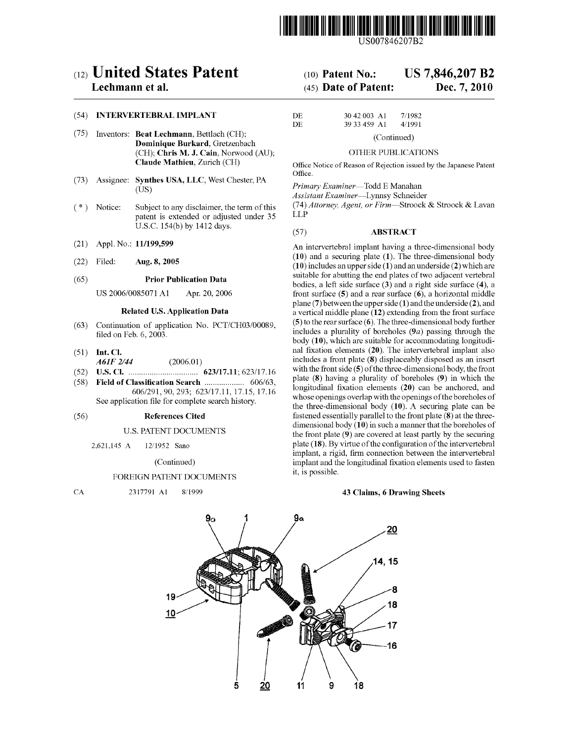

US007846207B2

## (12) United States Patent

## Lechmann et al.

#### (54) INTERVERTEBRAL IMPLANT

- (75) Inventors: Beat Lechmann, Bettlach (CH); Dominique Burkard, Gretzenbach (CH); Chris M. J. Cain, NorWood (AU); Claude Mathieu, Zurich (CH)
- (73) Assignee: Synthes USA, LLC, West Chester, PA  $(1)$ S)
- ( \* ) Notice: Subject to any disclaimer, the term of this patent is extended or adjusted under 35 U.S.C. 154(b) by 1412 days.
- (21) App1.No.: 11/199,599
- (22) Filed: Aug. 8, 2005

#### (65) Prior Publication Data

US 2006/0085071 A1 Apr. 20, 2006

#### Related US. Application Data

- (63) Continuation of application No. PCT/CH03/00089, filed on Feb. 6, 2003.
- (51) Int. Cl. A61F 2/44 (2006.01)
- (52) US. Cl. ............................... .. 623/17.11; 623/17.16
- (58) Field of Classification Search ................... 606/63, 606/291, 90, 293; 623/17.11,17.15,17.16 See application file for complete search history.
- (56) References Cited

#### U.S. PATENT DOCUMENTS

2,621,145 A 12/1952 Sano

#### (Continued)

#### FOREIGN PATENT DOCUMENTS

CA 2317791 A1 8/1999

#### US 7,846,207 B2 (10) Patent N0.:

#### Dec. 7, 2010 (45) Date of Patent:

| DE  | 30.42.003 A1 | 7/1982 |
|-----|--------------|--------|
| DF. | 39 33 459 A1 | 4/1991 |

(Continued)

#### OTHER PUBLICATIONS

Office Notice of Reason of Rejection issued by the Japanese Patent Office.

Primary Examiner-Todd E Manahan

Assistant Examiner-Lynnsy Schneider

(74) Attorney, Agent, or Firm-Stroock & Stroock & Lavan LLP

#### (57) ABSTRACT

An intervertebral implant having a three-dimensional body (10) and a securing plate (1). The three-dimensional body  $(10)$  includes an upper side  $(1)$  and an underside  $(2)$  which are suitable for abutting the end plates of two adjacent vertebral bodies, a left side surface (3) and a right side surface (4), a front surface  $(5)$  and a rear surface  $(6)$ , a horizontal middle plane (7) between the upper side (1) and the underside (2), and a vertical middle plane (12) extending from the front surface (5) to the rear surface (6). The three-dimensional body further includes a plurality of boreholes  $(9a)$  passing through the body (10), Which are suitable for accommodating longitudi nal fixation elements  $(20)$ . The intervertebral implant also includes a front plate (8) displaceably disposed as an insert with the front side (5) of the three-dimensional body, the front plate (8) having a plurality of boreholes (9) in Which the longitudinal fixation elements (20) can be anchored, and whose openings overlap with the openings of the boreholes of the three-dimensional body (10). A securing plate can be fastened essentially parallel to the front plate (8) at the three dimensional body  $(10)$  in such a manner that the boreholes of the front plate (9) are covered at least partly by the securing plate  $(18)$ . By virtue of the configuration of the intervertebral implant, a rigid, firm connection between the intervertebral implant and the longitudinal fixation elements used to fasten it, is possible.

#### 43 Claims, 6 Drawing Sheets

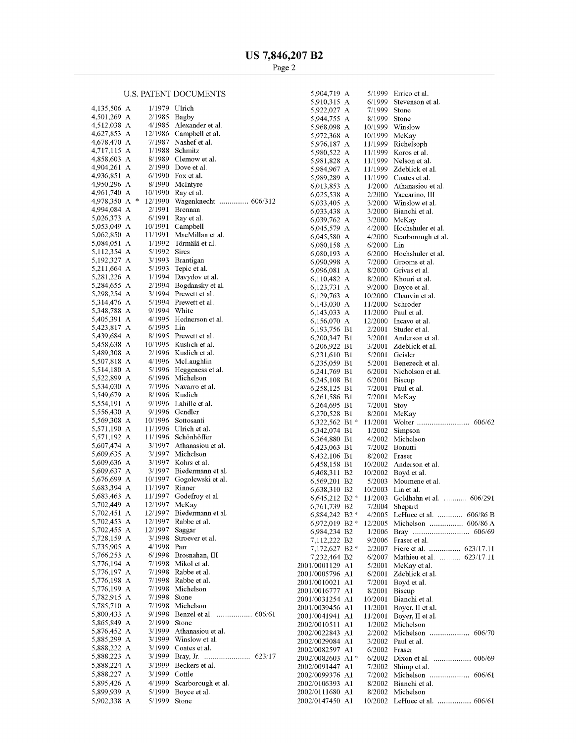## **U.S. PATENT DOCUMENTS**

| 4,135,506              | А           | 1/1979           | Ulrich                |
|------------------------|-------------|------------------|-----------------------|
| 4,501,269              | А           | 2/1985           | Bagby                 |
| 4,512,038              | А           | 4/1985           | Alexander et al.      |
| 4,627,853              | А           | 12/1986          | Campbell et al.       |
| 4,678,470              | А           | 7/1987           | Nashef et al.         |
| 4,717,115              | А           | 1/1988           | Schmitz               |
| 4,858,603              | А           | 8/1989           | Clemow et al.         |
|                        |             |                  |                       |
| 4,904,261              | А           | 2/1990           | Dove et al.           |
| 4,936,851              | А           | 6/1990           | Fox et al.            |
| 4,950,296              | А           | 8/1990           | McIntyre              |
| 4,961,740              | А           | 10/1990          | Ray et al.            |
| 4,978,350              | А           | 永<br>12/1990     | Wagenknecht  606/312  |
| 4,994,084              | А           | 2/1991           | Brennan               |
| 5,026,373              | А           | 6/1991           | Ray et al.            |
|                        | А           | 10/1991          |                       |
| 5,053,049              |             |                  | Campbell              |
| 5,062,850              | А           | 11/1991          | MacMillan et al.      |
| 5,084,051              | А           | 1/1992           | Törmälä et al.        |
| 5,112,354              | А           | 5/1992           | Sires                 |
| 5,192,327              | А           | 3/1993           | Brantigan             |
| 5,211,664              | А           | 5/1993           | Tepic et al.          |
| 5,281,226 A            |             | 1/1994           | Davydov et al.        |
| 5,284,655              | $\mathbf A$ | 2/1994           | Bogdansky et al.      |
| 5,298,254 A            |             |                  |                       |
|                        |             | 3/1994           | Prewett et al.        |
| 5,314,476              | А           | 5/1994           | Prewett et al.        |
| 5,348,788              | А           | 9/1994           | White                 |
| 5,405,391              | A           | 4/1995           | Hednerson et al.      |
| 5,423,817              | А           | 6/1995           | Lin                   |
| 5,439,684              | А           | 8/1995           | Prewett et al.        |
| 5,458,638 A            |             | 10/1995          | Kuslich et al.        |
| 5,489,308              | А           | 2/1996           | Kuslich et al.        |
|                        |             |                  |                       |
| 5,507,818              | А           | 4/1996           | McLaughlin            |
| 5,514,180              | А           | 5/1996           | Heggeness et al.      |
| 5,522,899              | А           | 6/1996           | Michelson             |
| 5,534,030              | А           | 7/1996           | Navarro et al.        |
| 5,549,679              | А           | 8/1996           | Kuslich               |
| 5,554,191              | А           | 9/1996           | Lahille et al.        |
| 5,556,430              | А           | 9/1996           | Gendler               |
| 5,569,308              | А           | 10/1996          | Sottosanti            |
|                        |             |                  |                       |
| 5,571,190              | А           | 11/1996          | Ulrich et al.         |
| 5,571,192              | А           | 11/1996          | Schönhöffer           |
| 5,607,474              | А           | 3/1997           | Athanasiou et al.     |
| 5,609,635              | A           | 3/1997           | Michelson             |
| 5,609,636              | А           | 3/1997           | Kohrs et al.          |
| 5,609,637              | А           | 3/1997           | Biedermann et al.     |
| 5,676,699              | А           | 10/1997          | Gogolewski et al.     |
| 5,683,394              | А           | 11/1997          | Rinner                |
|                        |             |                  |                       |
| 5,683,463              | А           | 11/1997          | Godefroy et al.       |
| 5,702,449              | А           | 12/1997          | McKay                 |
| 5,702,451              | А           | 12/1997          | Biedermann et al.     |
| 5,702,453 A            |             | 12/1997          | Rabbe et al.          |
| 5,702,455              | А           | 12/1997          | Saggar                |
| 5,728,159              | А           | 3/1998           | Stroever et al.       |
| 5,735,905              | А           | 4/1998           | Рап                   |
| 5,766,253              | А           | 6/1998           | Brosnahan, III        |
| 5,776,194              | А           | 7/1998           | Mikol et al.          |
|                        |             |                  |                       |
| 5,776,197              | А           | 7/1998           | Rabbe et al.          |
| 5,776,198              | А           | 7/1998           | Rabbe et al.          |
| 5,776,199              | А           | 7/1998           | Michelson             |
| 5,782,915              | А           | 7/1998           | Stone                 |
| 5,785,710              | А           | 7/1998           | Michelson             |
| 5,800,433              | А           | 9/1998           | Benzel et al.  606/61 |
| 5,865,849              | А           | 2/1999           | Stone                 |
| 5,876,452              | А           | 3/1999           | Athanasiou et al.     |
|                        |             |                  |                       |
| 5,885,299              | А           | 3/1999           | Winslow et al.        |
| 5,888,222              | А           | 3/1999           | Coates et al.         |
| 5,888,223              | А           | 3/1999           | Bray, Jr.<br>623/17   |
| 5,888,224              | А           | 3/1999           | Beckers et al.        |
| 5,888,227              | А           | 3/1999           | Cottle                |
|                        |             |                  |                       |
|                        |             |                  |                       |
| 5,895,426              | А           | 4/1999           | Scarborough et al.    |
| 5,899,939<br>5,902,338 | А<br>А      | 5/1999<br>5/1999 | Boyce et al.<br>Stone |

| 5,904,719 A                                      | 5/1999             | Errico et al.                           |
|--------------------------------------------------|--------------------|-----------------------------------------|
| 5,910,315<br>А                                   | 6/1999             | Stevenson et al.                        |
| А<br>5,922,027                                   | 7/1999             | Stone                                   |
| 5,944,755<br>А                                   | 8/1999             | Stone                                   |
| A<br>5,968,098                                   | 10/1999            | Winslow                                 |
| 5,972,368 A                                      | 10/1999            | McKay                                   |
| А<br>5,976,187                                   | 11/1999            | Richelsoph                              |
| 5,980,522<br>А<br>5,981,828 A                    | 11/1999<br>11/1999 | Koros et al.<br>Nelson et al.           |
| 5,984,967 A                                      | 11/1999            | Zdeblick et al.                         |
| 5,989,289 A                                      | 11/1999            | Coates et al.                           |
| 6,013,853 A                                      | 1/2000             | Athanasiou et al.                       |
| 6,025,538 A                                      | 2/2000             | Yaccarino, III                          |
| 6,033,405 A                                      | 3/2000             | Winslow et al.                          |
| 6,033,438 A                                      | 3/2000             | Bianchi et al.                          |
| 6,039,762 A                                      | 3/2000             | McKay                                   |
| 6,045,579 A<br>6,045,580 A                       | 4/2000<br>4/2000   | Hochshuler et al.<br>Scarborough et al. |
| 6,080,158 A                                      | 6/2000             | Lin                                     |
| 6,080,193 A                                      | 6/2000             | Hochshuler et al.                       |
| 6,090,998<br>A                                   | 7/2000             | Grooms et al.                           |
| А<br>6,096,081                                   | 8/2000             | Grivas et al.                           |
| 6,110,482<br>A                                   | 8/2000             | Khouri et al.                           |
| 6,123,731<br>А                                   | 9/2000             | Boyce et al.                            |
| 6,129,763 A                                      | 10/2000            | Chauvin et al.                          |
| 6,143,030 A                                      | 11/2000            | Schroder                                |
| 6,143,033 A                                      | 11/2000            | Paul et al.                             |
| 6,156,070 A<br>6,193,756 B1                      | 12/2000<br>2/2001  | Incavo et al.<br>Studer et al.          |
| 6,200,347 B1                                     | 3/2001             | Anderson et al.                         |
| 6,206,922 B1                                     | 3/2001             | Zdeblick et al.                         |
| 6,231,610 B1                                     | 5/2001             | Geisler                                 |
| 6,235,059 B1                                     | 5/2001             | Benezech et al.                         |
| 6,241,769 B1                                     | 6/2001             | Nicholson et al.                        |
| 6,245,108 B1                                     | 6/2001             | Biscup                                  |
| 6,258,125 B1                                     | 7/2001             | Paul et al.                             |
| 6,261,586 B1                                     | 7/2001             | McKay                                   |
| 6,264,695 B1<br>6,270,528 B1                     | 7/2001<br>8/2001   | Stoy<br>McKay                           |
| 6,322,562 B1*                                    | 11/2001            | Wolter<br>606/62                        |
| 6,342,074 B1                                     | 1/2002             | Simpson                                 |
| 6,364,880 B1                                     | 4/2002             | Michelson                               |
| 6,423,063 B1                                     | 7/2002             | Bonutti                                 |
| 6,432,106 B1                                     | 8/2002             | Fraser                                  |
| 6,458,158 B1                                     | 10/2002            | Anderson et al.                         |
| 6,468,311<br><b>B2</b>                           | 10/2002            | Boyd et al.                             |
| 6,569,201<br>B <sub>2</sub>                      | 5/2003             | Moumene et al.<br>Lin et al.            |
| 6,638,310<br>B <sub>2</sub><br>6,645,212<br>B2 * | 10/2003<br>11/2003 | Goldhahn et al.  606/291                |
| 6,761,739 B2                                     | 7/2004             | Shepard                                 |
| 6,884,242 B2 *                                   | 4/2005             | LeHuec et al.  606/86 B                 |
| 6,972,019 B2 *                                   | 12/2005            | Michelson  606/86 A                     |
| 6,984,234 B2                                     | 1/2006             | Bray<br>606/69                          |
| 7,112,222<br>B <sub>2</sub>                      | 9/2006             | Fraser et al.                           |
| 7,172,627<br>$B2*$                               | 2/2007             | Fiere et al.  623/17.11                 |
| 7,232,464<br>B <sub>2</sub>                      | 6/2007             | Mathieu et al.  623/17.11               |
| 2001/0001129<br>Al<br>2001/0005796<br>A1         | 5/2001<br>6/2001   | McKay et al.<br>Zdeblick et al.         |
| 2001/0010021<br>A1                               | 7/2001             | Boyd et al.                             |
| 2001/0016777<br>A1                               | 8/2001             | Biscup                                  |
| 2001/0031254<br>A1                               | 10/2001            | Bianchi et al.                          |
| 2001/0039456<br>Al                               | 11/2001            | Boyer, II et al.                        |
| 2001/0041941<br>Al                               | 11/2001            | Boyer, II et al.                        |
| 2002/0010511<br>Al                               | 1/2002             | Michelson                               |
| 2002/0022843<br>Al                               | 2/2002             | Michelson<br>606/70                     |
| 2002/0029084<br>Al                               | 3/2002             | Paul et al.                             |
| 2002/0082597<br>Al<br>2002/0082603<br>A1*        | 6/2002             | Fraser<br>Dixon et al.<br>606/69        |
| 2002/0091447<br>Al                               | 6/2002<br>7/2002   | Shimp et al.                            |
| 2002/0099376<br>A1                               | 7/2002             | Michelson<br>606/61                     |
| 2002/0106393<br>Al                               | 8/2002             | Bianchi et al.                          |
| 2002/0111680<br>Al                               | 8/2002             | Michelson                               |
| 2002/0147450 A1                                  | 10/2002            | LeHuec et al.  606/61                   |
|                                                  |                    |                                         |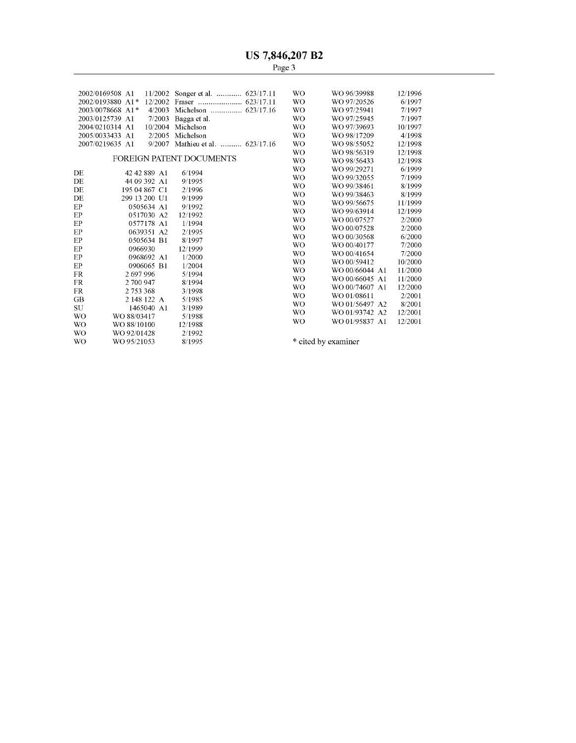# US 7,846,207 B2<br>Page 3

| 2002/0169508 A1<br>2005/0033433 A1<br>2007/0219635 A1 | 2002/0193880 A1*<br>2003/0078668 A1*<br>2003/0125739 A1 7/2003<br>2004/0210314 A1 10/2004 |              | 11/2002<br>12/2002<br>4/2003<br>9/2007 | Songer et al.  623/17.11<br>Fraser  623/17.11<br>Michelson  623/17.16<br>Bagga et al.<br>Michelson<br>2/2005 Michelson<br>Mathieu et al.  623/17.16 |  |
|-------------------------------------------------------|-------------------------------------------------------------------------------------------|--------------|----------------------------------------|-----------------------------------------------------------------------------------------------------------------------------------------------------|--|
|                                                       |                                                                                           |              |                                        | FOREIGN PATENT DOCUMENTS                                                                                                                            |  |
| DE                                                    |                                                                                           | 42 42 889 A1 |                                        | 6/1994                                                                                                                                              |  |
| DE                                                    |                                                                                           | 44 09 392 A1 |                                        | 9/1995                                                                                                                                              |  |
| DE                                                    | 195 04 867 C1                                                                             |              |                                        | 2/1996                                                                                                                                              |  |
| DE                                                    | 299 13 200 U1                                                                             |              |                                        | 9/1999                                                                                                                                              |  |
| EP                                                    |                                                                                           | 0505634 A1   |                                        | 9/1992                                                                                                                                              |  |
| EP                                                    |                                                                                           | 0517030 A2   |                                        | 12/1992                                                                                                                                             |  |
| EP                                                    |                                                                                           | 0577178 A1   |                                        | 1/1994                                                                                                                                              |  |
| EP                                                    |                                                                                           | 0639351 A2   |                                        | 2/1995                                                                                                                                              |  |
| EP                                                    |                                                                                           | 0505634 B1   |                                        | 8/1997                                                                                                                                              |  |
| EP                                                    |                                                                                           | 0966930      |                                        | 12/1999                                                                                                                                             |  |
| EP                                                    |                                                                                           | 0968692 A1   |                                        | 1/2000                                                                                                                                              |  |
| EP                                                    |                                                                                           | 0906065 B1   |                                        | 1/2004                                                                                                                                              |  |
| FR                                                    |                                                                                           | 2697996      |                                        | 5/1994                                                                                                                                              |  |
| FR.                                                   |                                                                                           | 2 700 947    |                                        | 8/1994                                                                                                                                              |  |
| FR                                                    |                                                                                           | 2 753 368    |                                        | 3/1998                                                                                                                                              |  |
| GB                                                    |                                                                                           | 2 148 122 A  |                                        | 5/1985                                                                                                                                              |  |
| SU                                                    |                                                                                           | 1465040 A1   |                                        | 3/1989                                                                                                                                              |  |
| <b>WO</b>                                             | WO 88/03417                                                                               |              |                                        | 5/1988                                                                                                                                              |  |
| <b>WO</b>                                             | WO 88/10100                                                                               |              |                                        | 12/1988                                                                                                                                             |  |
| <b>WO</b>                                             | WO 92/01428                                                                               |              |                                        | 2/1992                                                                                                                                              |  |
| <b>WO</b>                                             | WO 95/21053                                                                               |              |                                        | 8/1995                                                                                                                                              |  |

| WO        | WO 96/39988                   | 12/1996 |
|-----------|-------------------------------|---------|
| WO        | WO 97/20526                   | 6/1997  |
| WO        | WO 97/25941                   | 7/1997  |
| WO        | WO 97/25945                   | 7/1997  |
| WO        | WO 97/39693                   | 10/1997 |
| WO        | WO 98/17209                   | 4/1998  |
| WO        | WO 98/55052                   | 12/1998 |
| WO        | WO 98/56319                   | 12/1998 |
| WΟ        | WO 98/56433                   | 12/1998 |
| <b>WO</b> | WO 99/29271                   | 6/1999  |
| WO        | WO 99/32055                   | 7/1999  |
| WΟ        | WO 99/38461                   | 8/1999  |
| WO        | WO 99/38463                   | 8/1999  |
| WΟ        | WO 99/56675                   | 11/1999 |
| WΟ        | WO 99/63914                   | 12/1999 |
| <b>WO</b> | WO 00/07527                   | 2/2000  |
| WO        | WO 00/07528                   | 2/2000  |
| <b>WO</b> | WO 00/30568                   | 6/2000  |
| WO        | WO 00/40177                   | 7/2000  |
| WΟ        | WO 00/41654                   | 7/2000  |
| WO        | WO 00/59412                   | 10/2000 |
| WO        | WO 00/66044 A1                | 11/2000 |
| WO        | WO 00/66045<br>A1             | 11/2000 |
| WO        | WO 00/74607<br>$\mathbf{A}$ 1 | 12/2000 |
| WO        | WO 01/08611                   | 2/2001  |
| WO        | WO 01/56497 A2                | 8/2001  |
| <b>WO</b> | WO 01/93742<br>A <sub>2</sub> | 12/2001 |
| WΟ        | WO 01/95837<br>$\mathbf{A}$ 1 | 12/2001 |
|           |                               |         |

\* cited by examiner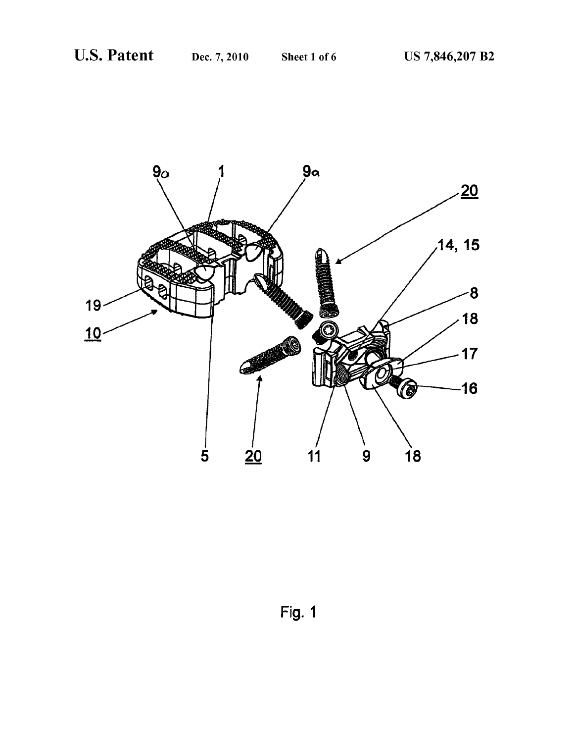

**Fig. 1**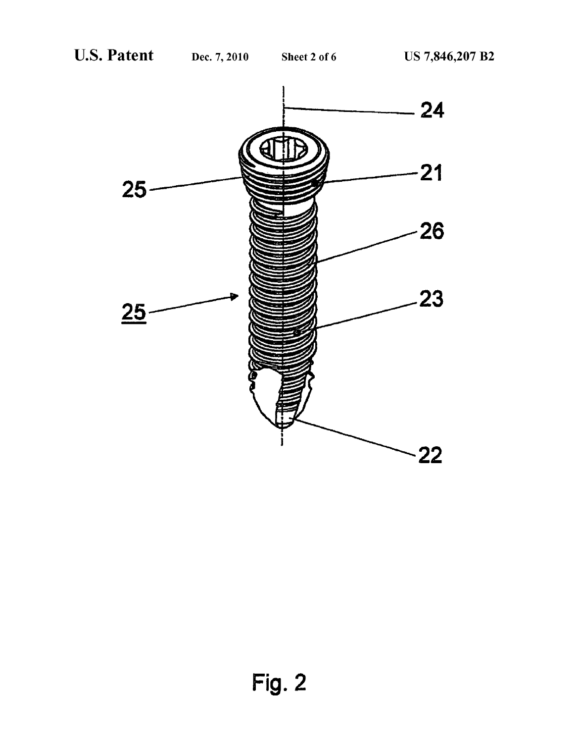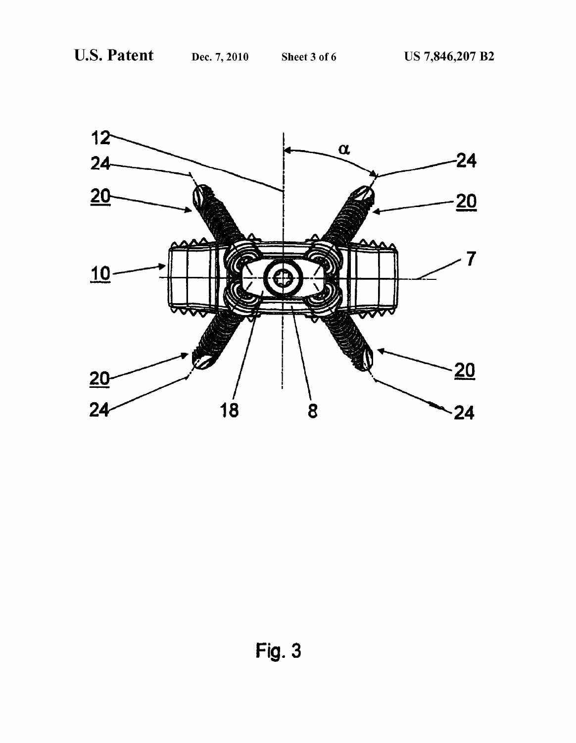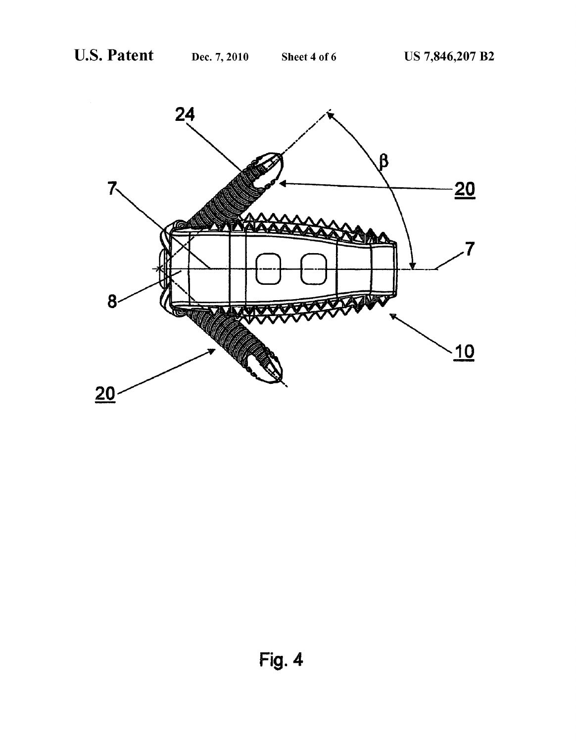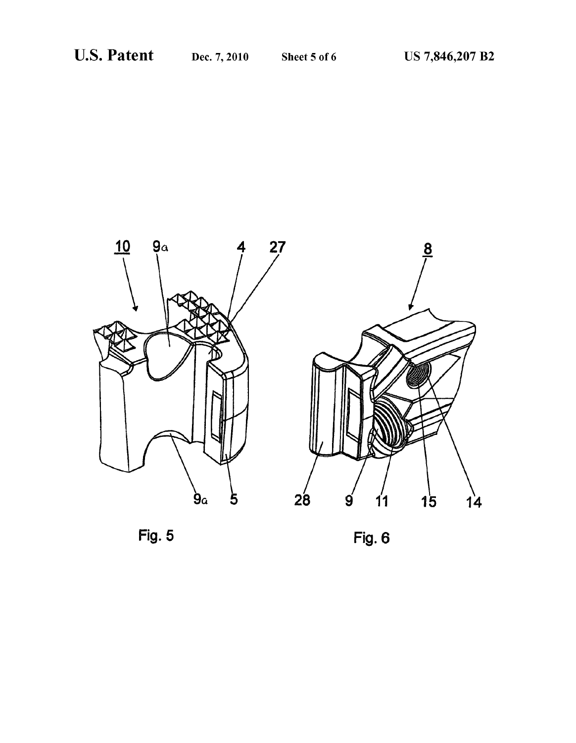

**Fig. 5** 

Fig. 6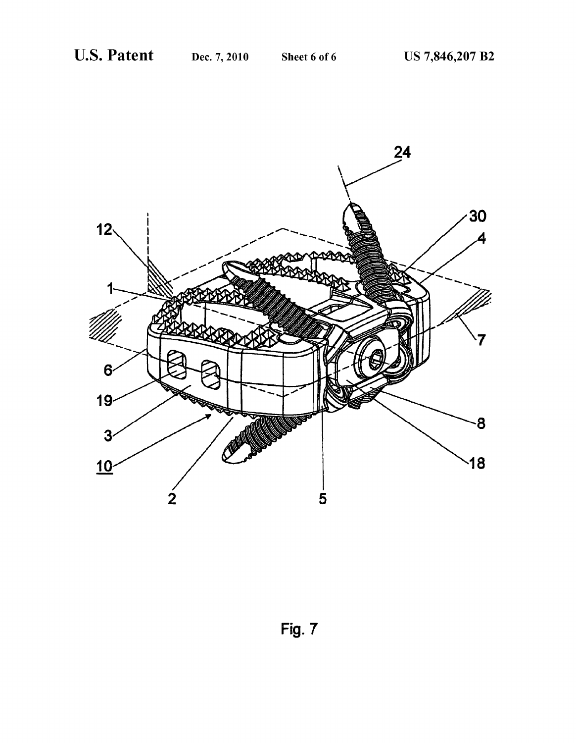

Fig. 7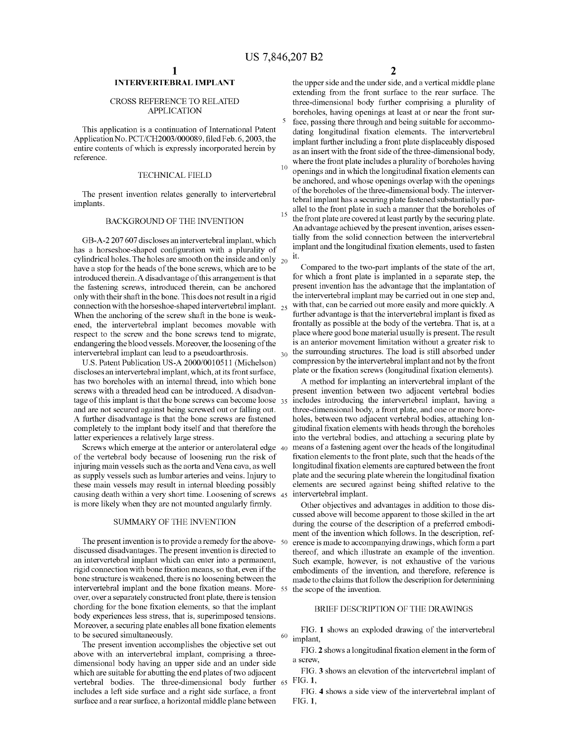$10$ 

15

### INTERVERTEBRAL IMPLANT

#### CROSS REFERENCE TO RELATED APPLICATION

This application is a continuation of International Patent Application No. PCT/CH2003/000089, filed Feb. 6, 2003, the entire contents of Which is expressly incorporated herein by reference.

#### TECHNICAL FIELD

The present invention relates generally to intervertebral implants.

#### BACKGROUND OF THE INVENTION

GB-A-2 207 607 discloses an intervertebral implant, Which has a horseshoe-shaped configuration with a plurality of cylindrical holes. The holes are smooth on the inside and only  $_{20}$ have a stop for the heads of the bone screws, which are to be introduced therein. A disadvantage of this arrangement is that the fastening screWs, introduced therein, can be anchored only With their shaft in the bone. This does not result in a rigid connection with the horseshoe-shaped intervertebral implant.  $_{25}$ When the anchoring of the screw shaft in the bone is weakened, the intervertebral implant becomes movable With respect to the screw and the bone screws tend to migrate, endangering the blood vessels. Moreover, the loosening of the intervertebral implant can lead to a pseudoarthrosis.

U.S. Patent Publication US-A 2000/0010511 (Michelson) discloses an intervertebral implant, Which, at its front surface, has two boreholes with an internal thread, into which bone screws with a threaded head can be introduced. A disadvantage of this implant is that the bone screws can become loose  $35$ and are not secured against being screwed out or falling out. A further disadvantage is that the bone screws are fastened completely to the implant body itself and that therefore the latter experiences a relatively large stress.

ScreWs Which emerge at the anterior or anterolateral edge 40 of the vertebral body because of loosening run the risk of injuring main vessels such as the aorta and Vena cava, as Well as supply vessels such as lumbar arteries and veins. Injury to these main vessels may result in internal bleeding possibly causing death Within a very short time. Loosening of screWs 45 is more likely when they are not mounted angularly firmly.

## SUMMARY OF THE INVENTION

The present invention is to provide a remedy for the above 50 discussed disadvantages. The present invention is directed to an intervertebral implant Which can enter into a permanent, rigid connection with bone fixation means, so that, even if the bone structure is weakened, there is no loosening between the intervertebral implant and the bone fixation means. More- 55 over, over a separately constructed front plate, there is tension chording for the bone fixation elements, so that the implant body experiences less stress, that is, superimposed tensions. Moreover, a securing plate enables all bone fixation elements to be secured simultaneously.

The present invention accomplishes the objective set out above With an intervertebral implant, comprising a three dimensional body having an upper side and an under side which are suitable for abutting the end plates of two adjacent vertebral bodies. The three-dimensional body further  $65$  FIG. I, includes a left side surface and a right side surface, a front surface and a rear surface, a horizontal middle plane between

2

the upper side and the under side, and a vertical middle plane extending from the front surface to the rear surface. The three-dimensional body further comprising a plurality of boreholes, having openings at least at or near the front sur face, passing there through and being suitable for accommo dating longitudinal fixation elements. The intervertebral implant further including a front plate displaceably disposed as an insert With the front side of the three-dimensional body, Where the front plate includes a plurality of boreholes having openings and in which the longitudinal fixation elements can be anchored, and Whose openings overlap With the openings of the boreholes of the three-dimensional body. The interver tebral implant has a securing plate fastened substantially par allel to the front plate in such a manner that the boreholes of the front plate are covered at least partly by the securing plate. An advantage achieved by the present invention, arises essentially from the solid connection between the intervertebral implant and the longitudinal fixation elements, used to fasten it.

30 Compared to the tWo-part implants of the state of the art, for Which a front plate is implanted in a separate step, the present invention has the advantage that the implantation of the intervertebral implant may be carried out in one step and, with that, can be carried out more easily and more quickly. A further advantage is that the intervertebral implant is fixed as frontally as possible at the body of the vertebra. That is, at a place Where good bone material usually is present. The result is an anterior movement limitation Without a greater risk to the surrounding structures. The load is still absorbed under compression by the intervertebral implant and not by the front plate or the fixation screws (longitudinal fixation elements).

A method for implanting an intervertebral implant of the present invention betWeen tWo adjacent vertebral bodies includes introducing the intervertebral implant, having a three-dimensional body, a front plate, and one or more bore holes, between two adjacent vertebral bodies, attaching longitudinal fixation elements with heads through the boreholes into the vertebral bodies, and attaching a securing plate by means of a fastening agent over the heads of the longitudinal fixation elements to the front plate, such that the heads of the longitudinal fixation elements are captured between the front plate and the securing plate wherein the longitudinal fixation elements are secured against being shifted relative to the intervertebral implant.

Other objectives and advantages in addition to those dis cussed above Will become apparent to those skilled in the art during the course of the description of a preferred embodi ment of the invention Which folloWs. In the description, ref erence is made to accompanying draWings, Which form a part thereof, and Which illustrate an example of the invention. Such example, hoWever, is not exhaustive of the various embodiments of the invention, and therefore, reference is made to the claims that folloW the description for determining the scope of the invention.

#### BRIEF DESCRIPTION OF THE DRAWINGS

 $60$  implant, FIG. 1 shows an exploded drawing of the intervertebral

FIG. 2 shows a longitudinal fixation element in the form of a screW,

FIG. 3 shows an elevation of the intervertebral implant of

FIG. 4 shows a side view of the intervertebral implant of FIG. 1,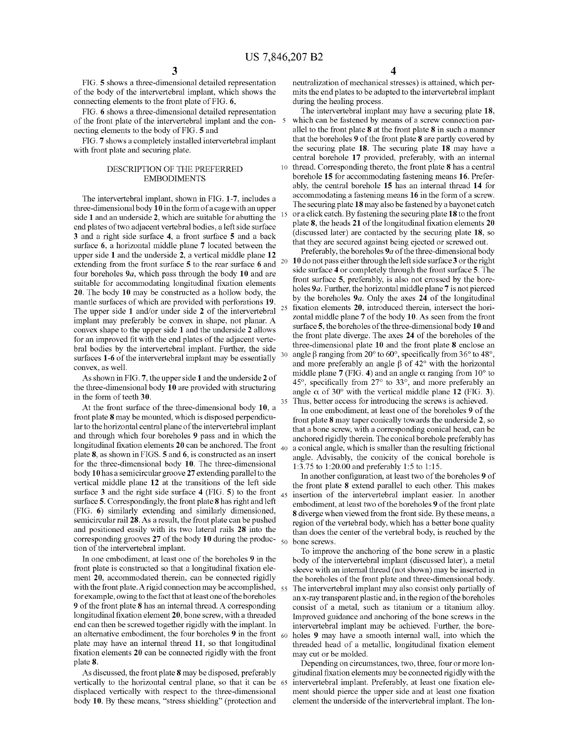25

35

FIG. 5 shows a three-dimensional detailed representation of the body of the intervertebral implant, Which shoWs the connecting elements to the front plate of FIG. 6,

FIG. 6 shoWs a three-dimensional detailed representation of the front plate of the intervertebral implant and the con necting elements to the body of FIG. 5 and

FIG. 7 shows a completely installed intervertebral implant with front plate and securing plate.

#### DESCRIPTION OF THE PREFERRED EMBODIMENTS

The intervertebral implant, shown in FIG. 1-7, includes a three-dimensional body 10 in the form of a cage With an upper side 1 and an underside 2, Which are suitable for abutting the end plates of tWo adjacent vertebral bodies, a left side surface 3 and a right side surface 4, a front surface 5 and a back surface 6, a horizontal middle plane 7 located between the upper side 1 and the underside 2, a vertical middle plane 12 extending from the front surface 5 to the rear surface 6 and four boreholes 9a, Which pass through the body 10 and are suitable for accommodating longitudinal fixation elements 20. The body 10 may be constructed as a holloW body, the mantle surfaces of Which are provided With perforations 19. The upper side 1 and/or under side 2 of the intervertebral implant may preferably be convex in shape, not planar. A convex shape to the upper side 1 and the underside 2 alloWs for an improved fit with the end plates of the adjacent vertebral bodies by the intervertebral implant. Further, the side surfaces 1-6 of the intervertebral implant may be essentially convex, as Well.

As shoWn in FIG. 7, the upper side 1 and the underside 2 of the three-dimensional body 10 are provided With structuring in the form of teeth 30.

At the front surface of the three-dimensional body 10, a front plate 8 may be mounted, Which is disposed perpendicu lar to the horizontal central plane of the intervertebral implant and through Which four boreholes 9 pass and in Which the plate 8, as shoWn in FIGS. 5 and 6, is constructed as an insert for the three-dimensional body 10. The three-dimensional body 10 has a semicircular groove 27 extending parallel to the vertical middle plane 12 at the transitions of the left side surface 3 and the right side surface 4 (FIG. 5) to the front  $_{45}$ surface 5. Correspondingly, the front plate 8 has right and left (FIG. 6) similarly extending and similarly dimensioned, semicircular rail 28. As a result, the front plate can be pushed and positioned easily With its tWo lateral rails 28 into the corresponding grooves 27 of the body 10 during the produc-  $_{50}$ tion of the intervertebral implant.

In one embodiment, at least one of the boreholes 9 in the front plate is constructed so that a longitudinal fixation element 20, accommodated therein, can be connected rigidly with the front plate. A rigid connection may be accomplished, 55 for example, oWing to the fact that at least one of the boreholes 9 of the front plate 8 has an internal thread. A corresponding longitudinal fixation element 20, bone screw, with a threaded end can then be screwed together rigidly with the implant. In an alternative embodiment, the four boreholes **9** in the front  $\frac{60}{ }$ plate may have an internal thread 11, so that longitudinal fixation elements 20 can be connected rigidly with the front plate 8.

As discussed, the front plate 8 may be disposed, preferably vertically to the horiZontal central plane, so that it can be 65 displaced vertically With respect to the three-dimensional body 10. By these means, "stress shielding" (protection and

4

neutralization of mechanical stresses) is attained, which permits the end plates to be adapted to the intervertebral implant during the healing process.

The intervertebral implant may have a securing plate 18, which can be fastened by means of a screw connection parallel to the front plate 8 at the front plate 8 in such a manner that the boreholes 9 of the front plate 8 are partly covered by the securing plate 18. The securing plate 18 may have a central borehole 17 provided, preferably, With an internal 10 thread. Corresponding thereto, the front plate 8 has a central borehole 15 for accommodating fastening means 16. Prefer ably, the central borehole 15 has an internal thread 14 for accommodating a fastening means 16 in the form of a screW. The securing plate 18 may also be fastened by a bayonet catch or a click catch. By fastening the securing plate 18 to the front plate  $8$ , the heads  $21$  of the longitudinal fixation elements  $20$ (discussed later) are contacted by the securing plate 18, so that they are secured against being ejected or screwed out.

20 10 do not pass either through the left side surface 3 or the right Preferably, the boreholes 9a of the three-dimensional body side surface 4 or completely through the front surface 5. The front surface 5, preferably, is also not crossed by the bore holes  $9a$ . Further, the horizontal middle plane 7 is not pierced by the boreholes  $9a$ . Only the axes 24 of the longitudinal fixation elements 20, introduced therein, intersect the horizontal middle plane 7 of the body 10. As seen from the front surface 5, the boreholes of the three-dimensional body 10 and the front plate diverge. The axes 24 of the boreholes of the three-dimensional plate 10 and the front plate 8 enclose an angle  $\beta$  ranging from 20° to 60°, specifically from 36° to 48°, and more preferably an angle  $\beta$  of 42° with the horizontal middle plane 7 (FIG. 4) and an angle  $\alpha$  ranging from 10° to 45°, specifically from  $27^{\circ}$  to  $33^{\circ}$ , and more preferably an angle  $\alpha$  of 30° with the vertical middle plane 12 (FIG. 3). Thus, better access for introducing the screws is achieved.

longitudinal fixation elements  $20$  can be anchored. The front  $\mu_0$  a conical angle, which is smaller than the resulting frictional In one embodiment, at least one of the boreholes 9 of the front plate 8 may taper conically towards the underside 2, so that a bone screW, With a corresponding conical head, can be anchored rigidly therein. The conical borehole preferably has angle. Advisably, the conicity of the conical borehole is 1:3.75 to 1:20.00 and preferably 1:5 to 1:15.

> In another configuration, at least two of the boreholes 9 of the front plate 8 extend parallel to each other. This makes insertion of the intervertebral implant easier. In another embodiment, at least tWo of the boreholes 9 of the front plate 8 diverge When vieWed from the front side. By these means, a region of the vertebral body, Which has a better bone quality than does the center of the vertebral body, is reached by the bone screWs.

> To improve the anchoring of the bone screW in a plastic body of the intervertebral implant (discussed later), a metal sleeve With an internal thread (not shoWn) may be inserted in the boreholes of the front plate and three-dimensional body. The intervertebral implant may also consist only partially of an x-ray transparent plastic and, in the region of the boreholes consist of a metal, such as titanium or a titanium alloy. Improved guidance and anchoring of the bone screws in the intervertebral implant may be achieved. Further, the bore holes 9 may have a smooth internal Wall, into Which the threaded head of a metallic, longitudinal fixation element may cut or be molded.

> Depending on circumstances, two, three, four or more longitudinal fixation elements may be connected rigidly with the intervertebral implant. Preferably, at least one fixation element should pierce the upper side and at least one fixation element the underside of the intervertebral implant. The lon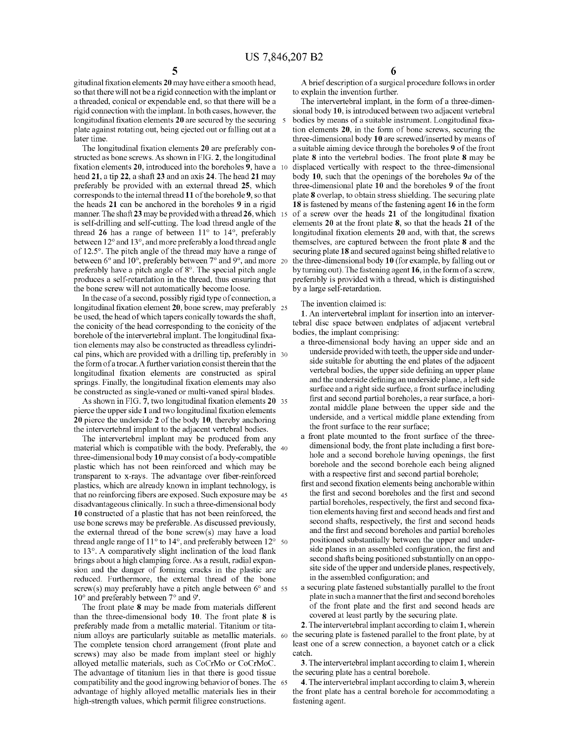gitudinal fixation elements 20 may have either a smooth head, so that there will not be a rigid connection with the implant or a threaded, conical or expendable end, so that there will be a rigid connection with the implant. In both cases, however, the longitudinal fixation elements 20 are secured by the securing 5 plate against rotating out, being ejected out or falling out at a later time.

The longitudinal fixation elements 20 are preferably constructed as bone screws. As shown in FIG. 2, the longitudinal fixation elements 20, introduced into the boreholes 9, have a 10 head 21, a tip 22, a shaft 23 and an axis 24. The head 21 may preferably be provided with an external thread 25, which corresponds to the internal thread 11 of the borehole 9, so that the heads 21 can be anchored in the boreholes 9 in a rigid manner. The shaft 23 may be provided with a thread 26, which 15 is self-drilling and self-cutting. The load thread angle of the thread 26 has a range of between  $11^{\circ}$  to  $14^{\circ}$ , preferably between 12° and 13°, and more preferably a load thread angle of 12.5°. The pitch angle of the thread may have a range of between  $6^{\circ}$  and  $10^{\circ}$ , preferably between  $7^{\circ}$  and  $9^{\circ}$ , and more 20 preferably have a pitch angle of 8°. The special pitch angle produces a self-retardation in the thread, thus ensuring that the bone screw will not automatically become loose.

In the case of a second, possibly rigid type of connection, a longitudinal fixation element 20, bone screw, may preferably 25 be used, the head of which tapers conically towards the shaft, the conicity of the head corresponding to the conicity of the borehole of the intervertebral implant. The longitudinal fixation elements may also be constructed as threadless cylindrical pins, which are provided with a drilling tip, preferably in 30 the form of a trocar. A further variation consist therein that the longitudinal fixation elements are constructed as spiral springs. Finally, the longitudinal fixation elements may also be constructed as single-vaned or multi-vaned spiral blades.

As shown in FIG. 7, two longitudinal fixation elements 20 35 pierce the upper side 1 and two longitudinal fixation elements 20 pierce the underside 2 of the body 10, thereby anchoring the intervertebral implant to the adjacent vertebral bodies.

The intervertebral implant may be produced from any material which is compatible with the body. Preferably, the 40 three-dimensional body 10 may consist of a body-compatible plastic which has not been reinforced and which may be transparent to x-rays. The advantage over fiber-reinforced plastics, which are already known in implant technology, is that no reinforcing fibers are exposed. Such exposure may be 45 disadvantageous clinically. In such a three-dimensional body 10 constructed of a plastic that has not been reinforced, the use bone screws may be preferable. As discussed previously, the external thread of the bone screw(s) may have a load thread angle range of 11° to 14°, and preferably between 12° 50 to 13°. A comparatively slight inclination of the load flank brings about a high clamping force. As a result, radial expansion and the danger of forming cracks in the plastic are reduced. Furthermore, the external thread of the bone screw(s) may preferably have a pitch angle between 6° and 55 10° and preferably between 7° and 9'.

The front plate 8 may be made from materials different than the three-dimensional body  $10$ . The front plate  $8$  is preferably made from a metallic material. Titanium or titanium alloys are particularly suitable as metallic materials. 60 The complete tension chord arrangement (front plate and screws) may also be made from implant steel or highly alloyed metallic materials, such as CoCrMo or CoCrMoC. The advantage of titanium lies in that there is good tissue compatibility and the good ingrowing behavior of bones. The 65 advantage of highly alloyed metallic materials lies in their high-strength values, which permit filigree constructions.

6

A brief description of a surgical procedure follows in order to explain the invention further.

The intervertebral implant, in the form of a three-dimensional body 10, is introduced between two adjacent vertebral bodies by means of a suitable instrument. Longitudinal fixation elements 20, in the form of bone screws, securing the three-dimensional body 10 are screwed/inserted by means of a suitable aiming device through the boreholes 9 of the front plate 8 into the vertebral bodies. The front plate 8 may be displaced vertically with respect to the three-dimensional body 10, such that the openings of the boreholes  $9a$  of the three-dimensional plate 10 and the boreholes 9 of the front plate 8 overlap, to obtain stress shielding. The securing plate 18 is fastened by means of the fastening agent 16 in the form of a screw over the heads 21 of the longitudinal fixation elements 20 at the front plate 8, so that the heads 21 of the longitudinal fixation elements 20 and, with that, the screws themselves, are captured between the front plate 8 and the securing plate 18 and secured against being shifted relative to the three-dimensional body 10 (for example, by falling out or by turning out). The fastening agent 16, in the form of a screw, preferably is provided with a thread, which is distinguished by a large self-retardation.

#### The invention claimed is:

1. An intervertebral implant for insertion into an intervertebral disc space between endplates of adjacent vertebral bodies, the implant comprising:

- a three-dimensional body having an upper side and an underside provided with teeth, the upper side and underside suitable for abutting the end plates of the adjacent vertebral bodies, the upper side defining an upper plane and the underside defining an underside plane, a left side surface and a right side surface, a front surface including first and second partial boreholes, a rear surface, a horizontal middle plane between the upper side and the underside, and a vertical middle plane extending from the front surface to the rear surface;
- a front plate mounted to the front surface of the threedimensional body, the front plate including a first borehole and a second borehole having openings, the first borehole and the second borehole each being aligned with a respective first and second partial borehole;
- first and second fixation elements being anchorable within the first and second boreholes and the first and second partial boreholes, respectively, the first and second fixation elements having first and second heads and first and second shafts, respectively, the first and second heads and the first and second boreholes and partial boreholes positioned substantially between the upper and underside planes in an assembled configuration, the first and second shafts being positioned substantially on an opposite side of the upper and underside planes, respectively, in the assembled configuration; and
- a securing plate fastened substantially parallel to the front plate in such a manner that the first and second boreholes of the front plate and the first and second heads are covered at least partly by the securing plate.

2. The intervertebral implant according to claim 1, wherein the securing plate is fastened parallel to the front plate, by at least one of a screw connection, a bayonet catch or a click catch.

3. The intervertebral implant according to claim 1, wherein the securing plate has a central borehole.

4. The intervertebral implant according to claim 3, wherein the front plate has a central borehole for accommodating a fastening agent.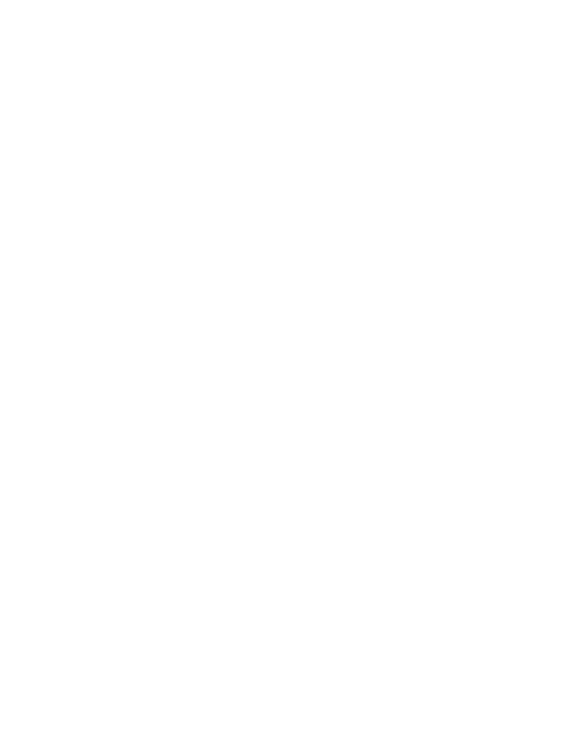15

5. The intervertebral implant according to claim 1, wherein at least one of the first and second boreholes includes internal threads.

6. The intervertebral implant according to claim 5, wherein the first and second boreholes are tapered conically in the 5 direction of the underside of the three-dimensional body.

7. The intervertebral implant according to claim 6, wherein the first and second boreholes have a conical angle, which is smaller than a resulting angle of friction.

8. The intervertebral implant according to claim 7, wherein 10 a conicity of the first and second boreholes range from 1:3.75 to 1:20.00.

9. The intervertebral implant according to claim 7, wherein a conicity of the first and second boreholes range from 1:5 to  $1:15.$ 

10. The intervertebral implant according to claim 1, wherein the front plate is preferably disposed vertically relative to the horizontal middle plane.

11. The intervertebral implant according to claim 10, wherein the front plate is disposed in the three-dimensional 20 body, such that it can be shifted vertically relative to the middle plane.

12. The intervertebral implant according to claim 1, wherein the front plate is constructed of a material, which is different from that of the three-dimensional body and is 25 metallic.

13. The intervertebral implant according to claim 1, wherein the side surfaces are constructed convexly.

14. The intervertebral implant according to claim 1, wherein at least one of the upper side and underside are not 30 planar and are constructed convexly.

15. The intervertebral implant according to claim 1, wherein the partial boreholes of the three-dimensional body do not pass completely through the front surface.

16. The intervertebral implant according to claim 1, 35 wherein the first and second boreholes of the front plate diverge when viewed from the front surface.

17. The intervertebral implant according to claim 1, wherein axes of the first and second boreholes define an angle  $\beta$ , ranging from 20 $\degree$  to 60 $\degree$  with the horizontal middle plane. 40

18. The intervertebral plant according to claim 1, wherein axes of the first and second boreholes enclose an angle  $\alpha$ ranging from 10° to 45° with the vertical middle plane.

19. The intervertebral implant according to claim 1, wherein the three-dimensional body consists of a reinforced 45 plastic.

20. The intervertebral implant according to claim 1. wherein the three-dimensional body consists partly of a material which is transparent to x-rays.

21. The intervertebral implant according to claim 1, 50 wherein the first and second boreholes of the front plate have a smooth inner wall, and the first and second heads of the first and second fixation elements include external threads for embedding in the smooth inner walls of the first and second **horeholes** 55

22. The intervertebral implant according to claim 1, wherein the three-dimensional body is constructed as a hollow body and includes casing surfaces which are provided with perforations.

23. The intervertebral implant according to claim 1, 60 wherein the first and second heads are in contact with the securing plate in the assembled configuration.

24. The intervertebral implant according to claim 23, wherein each of the first and second fixation elements include an axis, the axes of the first and second fixation elements 65 intersect the horizontal middle plane of the three-dimensional body.

25. The intervertebral implant according to claim 1, wherein the first fixation element pierces the upper side and the second fixation element pierces the underside.

26. The intervertebral implant according to claim 1, wherein the first and second boreholes include internal threads and the first and second heads of the first and second fixation elements are provided with an external thread, which is threadably matable with the internal threads of the first and second boreholes.

27. The intervertebral implant according to claim 1, wherein the first and second heads taper conically toward the first and second shafts, respectively.

28. The intervertebral implant according to claim 1, wherein the first fixation element passes through the upper side and the second fixation element passes through the underside.

29. The intervertebral implant according to claim 1, wherein the first and second fixation elements are constructed as bone screws, the first and second shafts including a thread capable of self-drilling and self-cutting.

30. The intervertebral implant according to claim 1, wherein the first and second fixation elements are constructed as a threadless cylindrical pins with a drill tip.

31. The intervertebral implant according to claim 1, wherein the first and second fixation elements are constructed as spiral springs.

32. The intervertebral implant according to claim 1, wherein the first and second fixation elements are constructed as single-vaned or multi-vaned spiral blades.

33. The intervertebral implant according to claim 1, wherein the first and second shafts of the first and second fixation elements include a plurality of threads having a load thread angle of 11° to 14°.

34. The intervertebral implant according to claim 1, wherein the first and second shafts of the first and second fixation elements include a plurality of threads having a pitch angle ranging from  $6^{\circ}$  to  $10^{\circ}$ .

35. The intervertebral implant according to claim 1, wherein axes of the first and second boreholes define an angle  $\beta$ , ranging from 36 $\degree$  to 48, with the horizontal middle plane.

36. The intervertebral plant according to claim 1, wherein axes of the first and second boreholes enclose an angle  $\alpha$ ranging from 27° to 33° with the vertical middle plane.

37. The intervertebral implant according to claim 1, wherein the front surface of the three-dimensional body includes a recess for receiving the front plate.

38. A method for implanting an intervertebral implant between first and second adjacent vertebral bodies, said method comprising the steps of:

- (a) introducing the intervertebral implant between the first and second adjacent vertebral bodies, the implant comprising:
	- a three-dimensional body having first and second partial boreholes extending through a front surface, an upper side and an underside including teeth, the upper side defining an upper plane and the underside defining an underside plane, and
	- a front plate having first and second boreholes which are aligned with the first and second partial boreholes, respectively, the first and second boreholes and first and second partial boreholes being positioned substantially between the upper and underside planes;
- (b) attaching a first fixation element having a first head portion and a first shaft portion through the first borehole of the front plate, through the first partial borehole of the three-dimensional body, and into the first vertebral body;